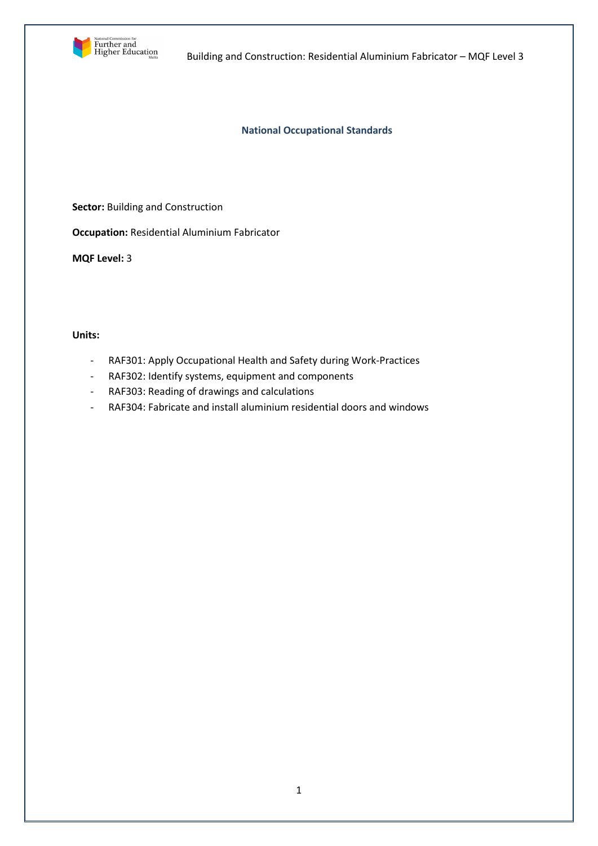

Building and Construction: Residential Aluminium Fabricator – MQF Level 3

## **National Occupational Standards**

**Sector:** Building and Construction

**Occupation:** Residential Aluminium Fabricator

**MQF Level:** 3

## **Units:**

- RAF301: Apply Occupational Health and Safety during Work-Practices
- RAF302: Identify systems, equipment and components
- RAF303: Reading of drawings and calculations
- RAF304: Fabricate and install aluminium residential doors and windows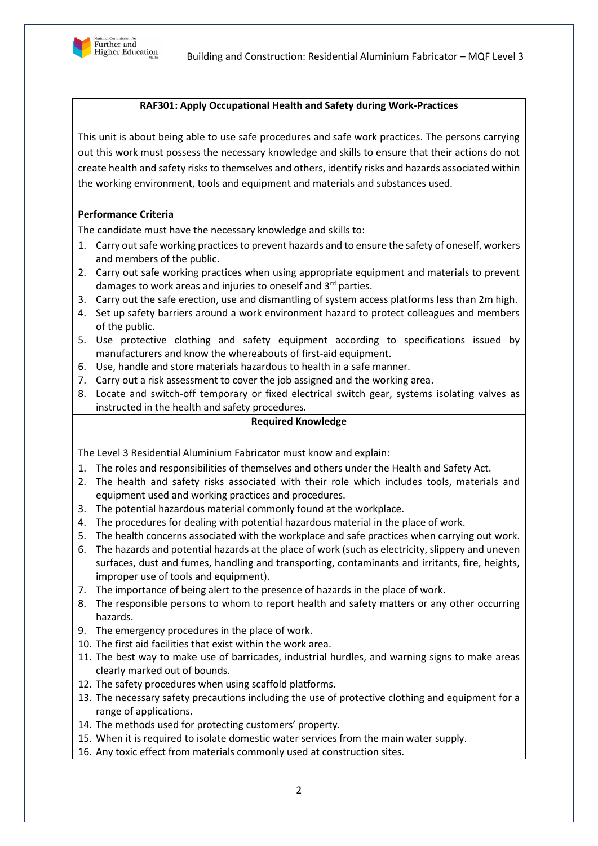

# **RAF301: Apply Occupational Health and Safety during Work-Practices**

This unit is about being able to use safe procedures and safe work practices. The persons carrying out this work must possess the necessary knowledge and skills to ensure that their actions do not create health and safety risks to themselves and others, identify risks and hazards associated within the working environment, tools and equipment and materials and substances used.

# **Performance Criteria**

The candidate must have the necessary knowledge and skills to:

- 1. Carry out safe working practices to prevent hazards and to ensure the safety of oneself, workers and members of the public.
- 2. Carry out safe working practices when using appropriate equipment and materials to prevent damages to work areas and injuries to oneself and 3<sup>rd</sup> parties.
- 3. Carry out the safe erection, use and dismantling of system access platforms less than 2m high.
- 4. Set up safety barriers around a work environment hazard to protect colleagues and members of the public.
- 5. Use protective clothing and safety equipment according to specifications issued by manufacturers and know the whereabouts of first-aid equipment.
- 6. Use, handle and store materials hazardous to health in a safe manner.
- 7. Carry out a risk assessment to cover the job assigned and the working area.
- 8. Locate and switch-off temporary or fixed electrical switch gear, systems isolating valves as instructed in the health and safety procedures.

### **Required Knowledge**

The Level 3 Residential Aluminium Fabricator must know and explain:

- 1. The roles and responsibilities of themselves and others under the Health and Safety Act.
- 2. The health and safety risks associated with their role which includes tools, materials and equipment used and working practices and procedures.
- 3. The potential hazardous material commonly found at the workplace.
- 4. The procedures for dealing with potential hazardous material in the place of work.
- 5. The health concerns associated with the workplace and safe practices when carrying out work.
- 6. The hazards and potential hazards at the place of work (such as electricity, slippery and uneven surfaces, dust and fumes, handling and transporting, contaminants and irritants, fire, heights, improper use of tools and equipment).
- 7. The importance of being alert to the presence of hazards in the place of work.
- 8. The responsible persons to whom to report health and safety matters or any other occurring hazards.
- 9. The emergency procedures in the place of work.
- 10. The first aid facilities that exist within the work area.
- 11. The best way to make use of barricades, industrial hurdles, and warning signs to make areas clearly marked out of bounds.
- 12. The safety procedures when using scaffold platforms.
- 13. The necessary safety precautions including the use of protective clothing and equipment for a range of applications.
- 14. The methods used for protecting customers' property.
- 15. When it is required to isolate domestic water services from the main water supply.
- 16. Any toxic effect from materials commonly used at construction sites.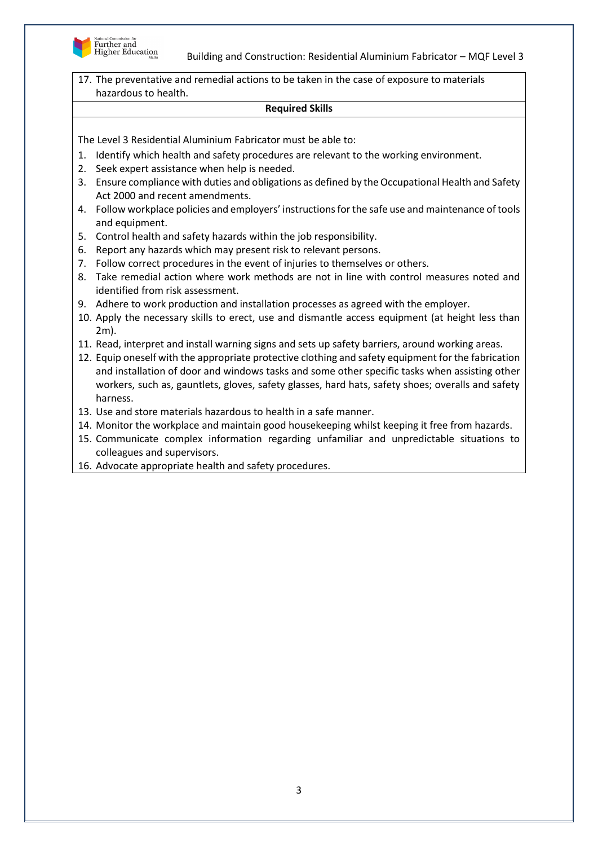

Building and Construction: Residential Aluminium Fabricator – MQF Level 3

17. The preventative and remedial actions to be taken in the case of exposure to materials hazardous to health.

#### **Required Skills**

- 1. Identify which health and safety procedures are relevant to the working environment.
- 2. Seek expert assistance when help is needed.
- 3. Ensure compliance with duties and obligations as defined by the Occupational Health and Safety Act 2000 and recent amendments.
- 4. Follow workplace policies and employers' instructions for the safe use and maintenance of tools and equipment.
- 5. Control health and safety hazards within the job responsibility.
- 6. Report any hazards which may present risk to relevant persons.
- 7. Follow correct procedures in the event of injuries to themselves or others.
- 8. Take remedial action where work methods are not in line with control measures noted and identified from risk assessment.
- 9. Adhere to work production and installation processes as agreed with the employer.
- 10. Apply the necessary skills to erect, use and dismantle access equipment (at height less than 2m).
- 11. Read, interpret and install warning signs and sets up safety barriers, around working areas.
- 12. Equip oneself with the appropriate protective clothing and safety equipment for the fabrication and installation of door and windows tasks and some other specific tasks when assisting other workers, such as, gauntlets, gloves, safety glasses, hard hats, safety shoes; overalls and safety harness.
- 13. Use and store materials hazardous to health in a safe manner.
- 14. Monitor the workplace and maintain good housekeeping whilst keeping it free from hazards.
- 15. Communicate complex information regarding unfamiliar and unpredictable situations to colleagues and supervisors.
- 16. Advocate appropriate health and safety procedures.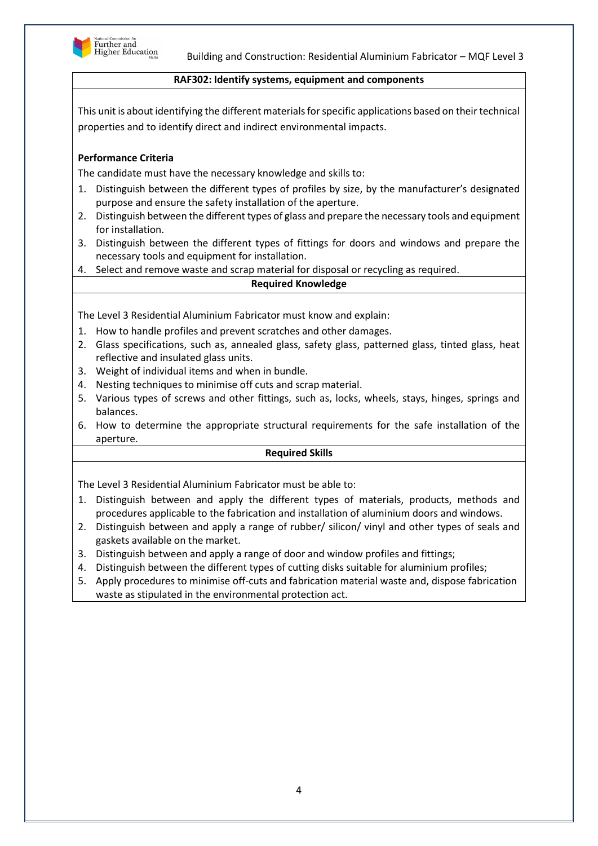

## **RAF302: Identify systems, equipment and components**

This unit is about identifying the different materials for specific applications based on their technical properties and to identify direct and indirect environmental impacts.

# **Performance Criteria**

The candidate must have the necessary knowledge and skills to:

- 1. Distinguish between the different types of profiles by size, by the manufacturer's designated purpose and ensure the safety installation of the aperture.
- 2. Distinguish between the different types of glass and prepare the necessary tools and equipment for installation.
- 3. Distinguish between the different types of fittings for doors and windows and prepare the necessary tools and equipment for installation.
- 4. Select and remove waste and scrap material for disposal or recycling as required.

## **Required Knowledge**

The Level 3 Residential Aluminium Fabricator must know and explain:

- 1. How to handle profiles and prevent scratches and other damages.
- 2. Glass specifications, such as, annealed glass, safety glass, patterned glass, tinted glass, heat reflective and insulated glass units.
- 3. Weight of individual items and when in bundle.
- 4. Nesting techniques to minimise off cuts and scrap material.
- 5. Various types of screws and other fittings, such as, locks, wheels, stays, hinges, springs and balances.
- 6. How to determine the appropriate structural requirements for the safe installation of the aperture.

#### **Required Skills**

- 1. Distinguish between and apply the different types of materials, products, methods and procedures applicable to the fabrication and installation of aluminium doors and windows.
- 2. Distinguish between and apply a range of rubber/ silicon/ vinyl and other types of seals and gaskets available on the market.
- 3. Distinguish between and apply a range of door and window profiles and fittings;
- 4. Distinguish between the different types of cutting disks suitable for aluminium profiles;
- 5. Apply procedures to minimise off-cuts and fabrication material waste and, dispose fabrication waste as stipulated in the environmental protection act.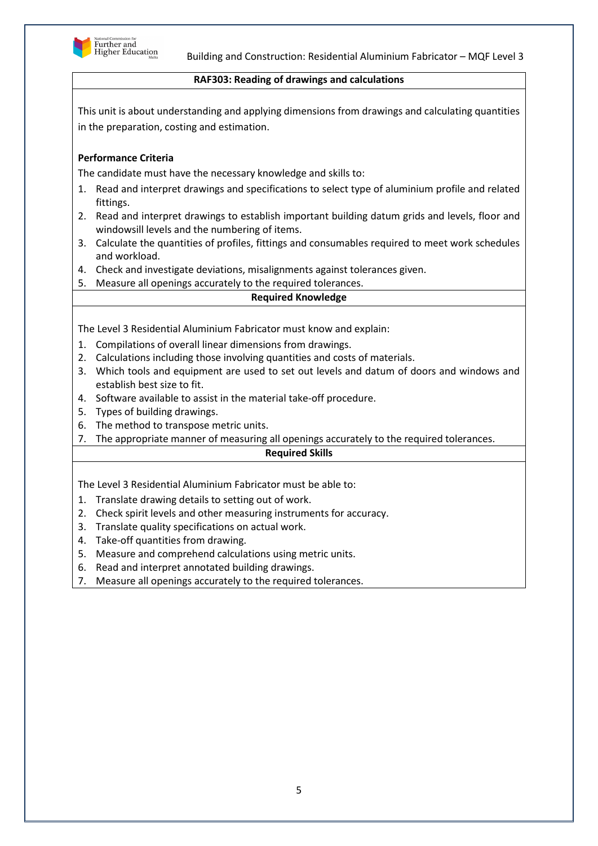

## **RAF303: Reading of drawings and calculations**

This unit is about understanding and applying dimensions from drawings and calculating quantities in the preparation, costing and estimation.

# **Performance Criteria**

The candidate must have the necessary knowledge and skills to:

- 1. Read and interpret drawings and specifications to select type of aluminium profile and related fittings.
- 2. Read and interpret drawings to establish important building datum grids and levels, floor and windowsill levels and the numbering of items.
- 3. Calculate the quantities of profiles, fittings and consumables required to meet work schedules and workload.
- 4. Check and investigate deviations, misalignments against tolerances given.
- 5. Measure all openings accurately to the required tolerances.

#### **Required Knowledge**

The Level 3 Residential Aluminium Fabricator must know and explain:

- 1. Compilations of overall linear dimensions from drawings.
- 2. Calculations including those involving quantities and costs of materials.
- 3. Which tools and equipment are used to set out levels and datum of doors and windows and establish best size to fit.
- 4. Software available to assist in the material take-off procedure.
- 5. Types of building drawings.
- 6. The method to transpose metric units.
- 7. The appropriate manner of measuring all openings accurately to the required tolerances.

### **Required Skills**

- 1. Translate drawing details to setting out of work.
- 2. Check spirit levels and other measuring instruments for accuracy.
- 3. Translate quality specifications on actual work.
- 4. Take-off quantities from drawing.
- 5. Measure and comprehend calculations using metric units.
- 6. Read and interpret annotated building drawings.
- 7. Measure all openings accurately to the required tolerances.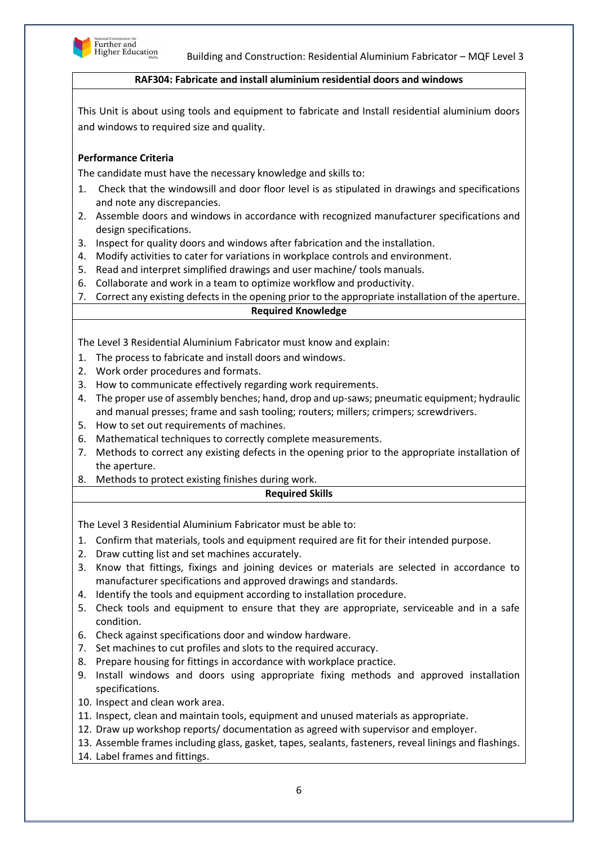

## **RAF304: Fabricate and install aluminium residential doors and windows**

This Unit is about using tools and equipment to fabricate and Install residential aluminium doors and windows to required size and quality.

# **Performance Criteria**

The candidate must have the necessary knowledge and skills to:

- 1. Check that the windowsill and door floor level is as stipulated in drawings and specifications and note any discrepancies.
- 2. Assemble doors and windows in accordance with recognized manufacturer specifications and design specifications.
- 3. Inspect for quality doors and windows after fabrication and the installation.
- 4. Modify activities to cater for variations in workplace controls and environment.
- 5. Read and interpret simplified drawings and user machine/ tools manuals.
- 6. Collaborate and work in a team to optimize workflow and productivity.
- 7. Correct any existing defects in the opening prior to the appropriate installation of the aperture.

## **Required Knowledge**

The Level 3 Residential Aluminium Fabricator must know and explain:

- 1. The process to fabricate and install doors and windows.
- 2. Work order procedures and formats.
- 3. How to communicate effectively regarding work requirements.
- 4. The proper use of assembly benches; hand, drop and up-saws; pneumatic equipment; hydraulic and manual presses; frame and sash tooling; routers; millers; crimpers; screwdrivers.
- 5. How to set out requirements of machines.
- 6. Mathematical techniques to correctly complete measurements.
- 7. Methods to correct any existing defects in the opening prior to the appropriate installation of the aperture.
- 8. Methods to protect existing finishes during work.

## **Required Skills**

- 1. Confirm that materials, tools and equipment required are fit for their intended purpose.
- 2. Draw cutting list and set machines accurately.
- 3. Know that fittings, fixings and joining devices or materials are selected in accordance to manufacturer specifications and approved drawings and standards.
- 4. Identify the tools and equipment according to installation procedure.
- 5. Check tools and equipment to ensure that they are appropriate, serviceable and in a safe condition.
- 6. Check against specifications door and window hardware.
- 7. Set machines to cut profiles and slots to the required accuracy.
- 8. Prepare housing for fittings in accordance with workplace practice.
- 9. Install windows and doors using appropriate fixing methods and approved installation specifications.
- 10. Inspect and clean work area.
- 11. Inspect, clean and maintain tools, equipment and unused materials as appropriate.
- 12. Draw up workshop reports/ documentation as agreed with supervisor and employer.
- 13. Assemble frames including glass, gasket, tapes, sealants, fasteners, reveal linings and flashings.
- 14. Label frames and fittings.